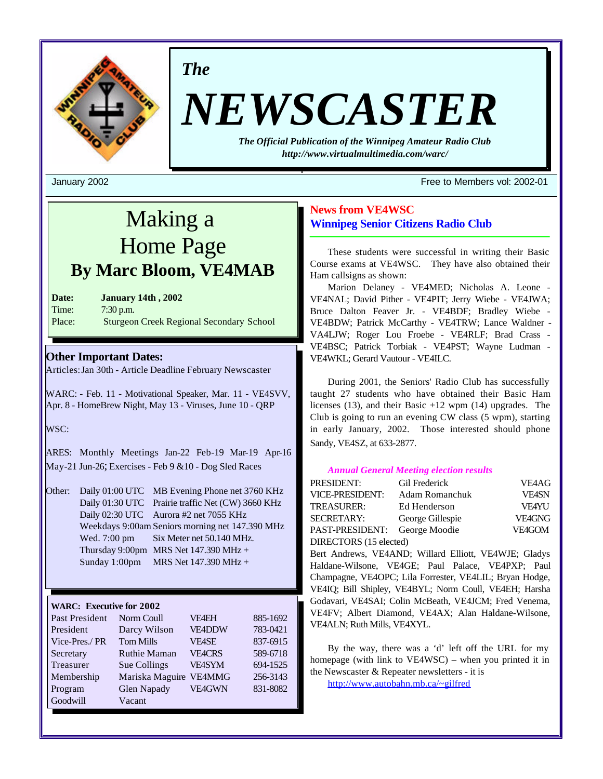

*The*

# *NEWSCASTER*

*The Official Publication of the Winnipeg Amateur Radio Club http://www.virtualmultimedia.com/warc/*

# Making a Home Page **By Marc Bloom, VE4MAB**

| Date:  | <b>January 14th, 2002</b>                       |
|--------|-------------------------------------------------|
| Time:  | $7:30$ p.m.                                     |
| Place: | <b>Sturgeon Creek Regional Secondary School</b> |

## **Other Important Dates:**

Articles: Jan 30th - Article Deadline February Newscaster

WARC: - Feb. 11 - Motivational Speaker, Mar. 11 - VE4SVV, Apr. 8 - HomeBrew Night, May 13 - Viruses, June 10 - QRP

WSC:

ARES: Monthly Meetings Jan-22 Feb-19 Mar-19 Apr-16 May-21 Jun-26; Exercises - Feb  $9 \& 10$  - Dog Sled Races

|  | Other: Daily 01:00 UTC MB Evening Phone net 3760 KHz |
|--|------------------------------------------------------|
|  | Daily 01:30 UTC Prairie traffic Net (CW) 3660 KHz    |
|  | Daily 02:30 UTC Aurora #2 net 7055 KHz               |
|  | Weekdays 9:00am Seniors morning net 147.390 MHz      |
|  | Wed. 7:00 pm Six Meter net 50.140 MHz.               |
|  | Thursday 9:00pm MRS Net $147.390$ MHz +              |
|  | Sunday 1:00pm MRS Net $147.390 \text{ MHz} +$        |
|  |                                                      |

## **WARC: Executive for 2002**

| Past President | Norm Coull             | <b>VF4EH</b>  | 885-1692 |
|----------------|------------------------|---------------|----------|
| President      | Darcy Wilson           | <b>VE4DDW</b> | 783-0421 |
| Vice-Pres./PR  | <b>Tom Mills</b>       | <b>VE4SE</b>  | 837-6915 |
| Secretary      | <b>Ruthie Maman</b>    | <b>VEACRS</b> | 589-6718 |
| Treasurer      | Sue Collings           | <b>VE4SYM</b> | 694-1525 |
| Membership     | Mariska Maguire VE4MMG |               | 256-3143 |
| Program        | Glen Napady            | <b>VE4GWN</b> | 831-8082 |
| Goodwill       | Vacant                 |               |          |

#### January 2002 Free to Members vol: 2002-01

## **News from VE4WSC Winnipeg Senior Citizens Radio Club**

These students were successful in writing their Basic Course exams at VE4WSC. They have also obtained their Ham callsigns as shown:

Marion Delaney - VE4MED; Nicholas A. Leone - VE4NAL; David Pither - VE4PIT; Jerry Wiebe - VE4JWA; Bruce Dalton Feaver Jr. - VE4BDF; Bradley Wiebe - VE4BDW; Patrick McCarthy - VE4TRW; Lance Waldner - VA4LJW; Roger Lou Froebe - VE4RLF; Brad Crass - VE4BSC; Patrick Torbiak - VE4PST; Wayne Ludman - VE4WKL; Gerard Vautour - VE4ILC.

During 2001, the Seniors' Radio Club has successfully taught 27 students who have obtained their Basic Ham licenses (13), and their Basic +12 wpm (14) upgrades. The Club is going to run an evening CW class (5 wpm), starting in early January, 2002. Those interested should phone Sandy, VE4SZ, at 633-2877.

#### *Annual General Meeting election results*

| PRESIDENT:                    | <b>Gil Frederick</b> | VE4AG         |
|-------------------------------|----------------------|---------------|
| <b>VICE-PRESIDENT:</b>        | Adam Romanchuk       | <b>VFASN</b>  |
| <b>TREASURER:</b>             | Ed Henderson         | <b>VF4YU</b>  |
| <b>SECRETARY:</b>             | George Gillespie     | <b>VE4GNG</b> |
| PAST-PRESIDENT: George Moodie |                      | VE4GOM        |
| DIRECTORS (15 elected)        |                      |               |

Bert Andrews, VE4AND; Willard Elliott, VE4WJE; Gladys Haldane-Wilsone, VE4GE; Paul Palace, VE4PXP; Paul Champagne, VE4OPC; Lila Forrester, VE4LIL; Bryan Hodge, VE4IQ; Bill Shipley, VE4BYL; Norm Coull, VE4EH; Harsha Godavari, VE4SAI; Colin McBeath, VE4JCM; Fred Venema, VE4FV; Albert Diamond, VE4AX; Alan Haldane-Wilsone, VE4ALN; Ruth Mills, VE4XYL.

By the way, there was a 'd' left off the URL for my homepage (with link to VE4WSC) – when you printed it in the Newscaster & Repeater newsletters - it is

http://www.autobahn.mb.ca/~gilfred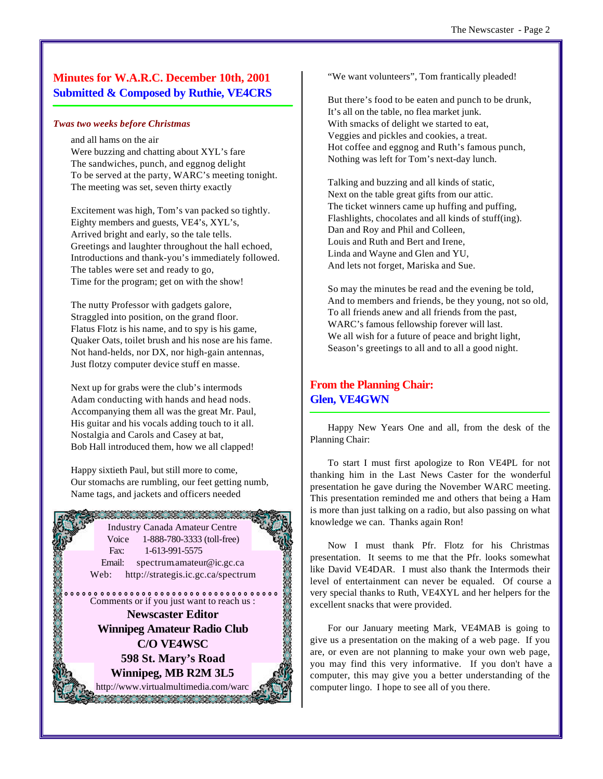## **Minutes for W.A.R.C. December 10th, 2001 Submitted & Composed by Ruthie, VE4CRS**

#### *Twas two weeks before Christmas*

and all hams on the air Were buzzing and chatting about XYL's fare The sandwiches, punch, and eggnog delight To be served at the party, WARC's meeting tonight. The meeting was set, seven thirty exactly

Excitement was high, Tom's van packed so tightly. Eighty members and guests, VE4's, XYL's, Arrived bright and early, so the tale tells. Greetings and laughter throughout the hall echoed, Introductions and thank-you's immediately followed. The tables were set and ready to go, Time for the program; get on with the show!

The nutty Professor with gadgets galore, Straggled into position, on the grand floor. Flatus Flotz is his name, and to spy is his game, Quaker Oats, toilet brush and his nose are his fame. Not hand-helds, nor DX, nor high-gain antennas, Just flotzy computer device stuff en masse.

Next up for grabs were the club's intermods Adam conducting with hands and head nods. Accompanying them all was the great Mr. Paul, His guitar and his vocals adding touch to it all. Nostalgia and Carols and Casey at bat, Bob Hall introduced them, how we all clapped!

Happy sixtieth Paul, but still more to come, Our stomachs are rumbling, our feet getting numb, Name tags, and jackets and officers needed



"We want volunteers", Tom frantically pleaded!

But there's food to be eaten and punch to be drunk, It's all on the table, no flea market junk. With smacks of delight we started to eat, Veggies and pickles and cookies, a treat. Hot coffee and eggnog and Ruth's famous punch, Nothing was left for Tom's next-day lunch.

Talking and buzzing and all kinds of static, Next on the table great gifts from our attic. The ticket winners came up huffing and puffing, Flashlights, chocolates and all kinds of stuff(ing). Dan and Roy and Phil and Colleen, Louis and Ruth and Bert and Irene, Linda and Wayne and Glen and YU, And lets not forget, Mariska and Sue.

So may the minutes be read and the evening be told, And to members and friends, be they young, not so old, To all friends anew and all friends from the past, WARC's famous fellowship forever will last. We all wish for a future of peace and bright light, Season's greetings to all and to all a good night.

## **From the Planning Chair: Glen, VE4GWN**

Happy New Years One and all, from the desk of the Planning Chair:

To start I must first apologize to Ron VE4PL for not thanking him in the Last News Caster for the wonderful presentation he gave during the November WARC meeting. This presentation reminded me and others that being a Ham is more than just talking on a radio, but also passing on what knowledge we can. Thanks again Ron!

Now I must thank Pfr. Flotz for his Christmas presentation. It seems to me that the Pfr. looks somewhat like David VE4DAR. I must also thank the Intermods their level of entertainment can never be equaled. Of course a very special thanks to Ruth, VE4XYL and her helpers for the excellent snacks that were provided.

For our January meeting Mark, VE4MAB is going to give us a presentation on the making of a web page. If you are, or even are not planning to make your own web page, you may find this very informative. If you don't have a computer, this may give you a better understanding of the computer lingo. I hope to see all of you there.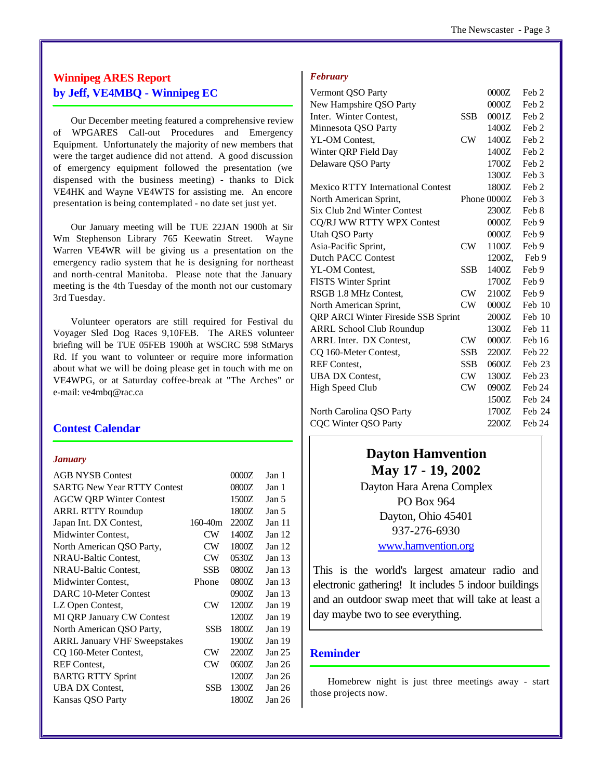## **Winnipeg ARES Report by Jeff, VE4MBQ - Winnipeg EC**

Our December meeting featured a comprehensive review of WPGARES Call-out Procedures and Emergency Equipment. Unfortunately the majority of new members that were the target audience did not attend. A good discussion of emergency equipment followed the presentation (we dispensed with the business meeting) - thanks to Dick VE4HK and Wayne VE4WTS for assisting me. An encore presentation is being contemplated - no date set just yet.

Our January meeting will be TUE 22JAN 1900h at Sir Wm Stephenson Library 765 Keewatin Street. Wayne Warren VE4WR will be giving us a presentation on the emergency radio system that he is designing for northeast and north-central Manitoba. Please note that the January meeting is the 4th Tuesday of the month not our customary 3rd Tuesday.

Volunteer operators are still required for Festival du Voyager Sled Dog Races 9,10FEB. The ARES volunteer briefing will be TUE 05FEB 1900h at WSCRC 598 StMarys Rd. If you want to volunteer or require more information about what we will be doing please get in touch with me on VE4WPG, or at Saturday coffee-break at "The Arches" or e-mail: ve4mbq@rac.ca

## **Contest Calendar**

#### *January*

|                                     |             |       | Jan 1             |
|-------------------------------------|-------------|-------|-------------------|
| <b>AGB NYSB Contest</b>             |             | 0000Z |                   |
| <b>SARTG New Year RTTY Contest</b>  |             | 0800Z | Jan 1             |
| <b>AGCW QRP Winter Contest</b>      |             | 1500Z | Jan 5             |
| <b>ARRL RTTY Roundup</b>            |             | 1800Z | Jan 5             |
| Japan Int. DX Contest,              | $160 - 40m$ | 2200Z | Jan 11            |
| Midwinter Contest,                  | CW          | 1400Z | Jan $12$          |
| North American QSO Party,           | CW          | 1800Z | Jan $12$          |
| <b>NRAU-Baltic Contest.</b>         | CW          | 0530Z | Jan 13            |
| NRAU-Baltic Contest,                | SSB         | 0800Z | Jan <sub>13</sub> |
| Midwinter Contest,                  | Phone       | 0800Z | Jan <sub>13</sub> |
| DARC 10-Meter Contest               |             | 0900Z | Jan 13            |
| LZ Open Contest,                    | CW          | 1200Z | Jan 19            |
| <b>MI QRP January CW Contest</b>    |             | 1200Z | Jan <sub>19</sub> |
| North American QSO Party,           | <b>SSB</b>  | 1800Z | Jan 19            |
| <b>ARRL January VHF Sweepstakes</b> |             | 1900Z | Jan 19            |
| CQ 160-Meter Contest,               | CW          | 2200Z | Jan 25            |
| <b>REF</b> Contest.                 | CW          | 0600Z | Jan 26            |
| <b>BARTG RTTY Sprint</b>            |             | 1200Z | Jan 26            |
| <b>UBA DX Contest,</b>              | SSB         | 1300Z | Jan 26            |
| Kansas QSO Party                    |             | 1800Z | Jan 26            |
|                                     |             |       |                   |

#### *February*

| Vermont QSO Party                          |            | 0000Z       | Feb <sub>2</sub> |
|--------------------------------------------|------------|-------------|------------------|
| New Hampshire QSO Party                    |            | 0000Z       | Feb <sub>2</sub> |
| Inter. Winter Contest,                     | <b>SSB</b> | 0001Z       | Feb <sub>2</sub> |
| Minnesota QSO Party                        |            | 1400Z       | Feb <sub>2</sub> |
| YL-OM Contest,                             | CW         | 1400Z       | Feb <sub>2</sub> |
| Winter QRP Field Day                       |            | 1400Z       | Feb <sub>2</sub> |
| Delaware QSO Party                         |            | 1700Z       | Feb <sub>2</sub> |
|                                            |            | 1300Z       | Feb <sub>3</sub> |
| <b>Mexico RTTY International Contest</b>   |            | 1800Z       | Feb <sub>2</sub> |
| North American Sprint,                     |            | Phone 0000Z | Feb <sub>3</sub> |
| Six Club 2nd Winter Contest                |            | 2300Z       | Feb 8            |
| CQ/RJ WW RTTY WPX Contest                  |            | 0000Z       | Feb 9            |
| Utah QSO Party                             |            | 0000Z       | Feb 9            |
| Asia-Pacific Sprint,                       | CW         | 1100Z       | Feb 9            |
| <b>Dutch PACC Contest</b>                  |            | 1200Z.      | Feb 9            |
| YL-OM Contest,                             | SSB.       | 1400Z       | Feb 9            |
| <b>FISTS Winter Sprint</b>                 |            | 1700Z       | Feb 9            |
| RSGB 1.8 MHz Contest.                      | CW         | 2100Z       | Feb 9            |
| North American Sprint,                     | CW         | 0000Z       | Feb 10           |
| <b>QRP ARCI Winter Fireside SSB Sprint</b> |            | 2000Z       | Feb 10           |
| <b>ARRL School Club Roundup</b>            |            | 1300Z       | Feb 11           |
| <b>ARRL Inter. DX Contest.</b>             | CW         | 0000Z       | Feb 16           |
| CQ 160-Meter Contest,                      | <b>SSB</b> | 2200Z       | Feb 22           |
| <b>REF</b> Contest.                        | SSB -      | 0600Z       | Feb 23           |
| <b>UBA DX Contest,</b>                     | CW         | 1300Z       | Feb 23           |
| <b>High Speed Club</b>                     | CW         | 0900Z       | Feb 24           |
|                                            |            | 1500Z       | Feb 24           |
| North Carolina QSO Party                   |            | 1700Z       | Feb 24           |
| <b>CQC Winter QSO Party</b>                |            | 2200Z       | Feb 24           |
|                                            |            |             |                  |

## **Dayton Hamvention May 17 - 19, 2002**

Dayton Hara Arena Complex PO Box 964 Dayton, Ohio 45401 937-276-6930 www.hamvention.org

This is the world's largest amateur radio and electronic gathering! It includes 5 indoor buildings and an outdoor swap meet that will take at least a day maybe two to see everything.

## **Reminder**

Homebrew night is just three meetings away - start those projects now.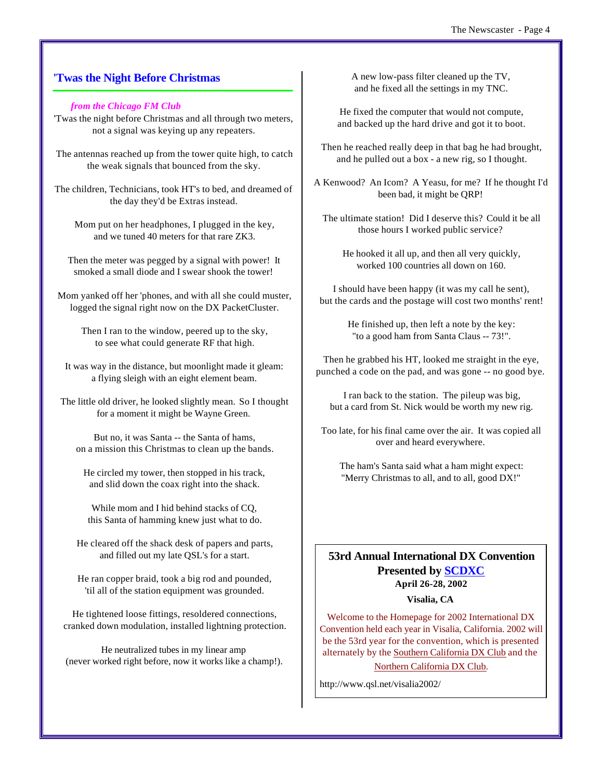## **'Twas the Night Before Christmas**

#### *from the Chicago FM Club*

'Twas the night before Christmas and all through two meters, not a signal was keying up any repeaters.

 The antennas reached up from the tower quite high, to catch the weak signals that bounced from the sky.

The children, Technicians, took HT's to bed, and dreamed of the day they'd be Extras instead.

 Mom put on her headphones, I plugged in the key, and we tuned 40 meters for that rare ZK3.

 Then the meter was pegged by a signal with power! It smoked a small diode and I swear shook the tower!

 Mom yanked off her 'phones, and with all she could muster, logged the signal right now on the DX PacketCluster.

 Then I ran to the window, peered up to the sky, to see what could generate RF that high.

 It was way in the distance, but moonlight made it gleam: a flying sleigh with an eight element beam.

 The little old driver, he looked slightly mean. So I thought for a moment it might be Wayne Green.

 But no, it was Santa -- the Santa of hams, on a mission this Christmas to clean up the bands.

 He circled my tower, then stopped in his track, and slid down the coax right into the shack.

 While mom and I hid behind stacks of CQ, this Santa of hamming knew just what to do.

 He cleared off the shack desk of papers and parts, and filled out my late QSL's for a start.

 He ran copper braid, took a big rod and pounded, 'til all of the station equipment was grounded.

 He tightened loose fittings, resoldered connections, cranked down modulation, installed lightning protection.

 He neutralized tubes in my linear amp (never worked right before, now it works like a champ!).  A new low-pass filter cleaned up the TV, and he fixed all the settings in my TNC.

 He fixed the computer that would not compute, and backed up the hard drive and got it to boot.

 Then he reached really deep in that bag he had brought, and he pulled out a box - a new rig, so I thought.

 A Kenwood? An Icom? A Yeasu, for me? If he thought I'd been bad, it might be QRP!

 The ultimate station! Did I deserve this? Could it be all those hours I worked public service?

 He hooked it all up, and then all very quickly, worked 100 countries all down on 160.

 I should have been happy (it was my call he sent), but the cards and the postage will cost two months' rent!

> He finished up, then left a note by the key: "to a good ham from Santa Claus -- 73!".

 Then he grabbed his HT, looked me straight in the eye, punched a code on the pad, and was gone -- no good bye.

 I ran back to the station. The pileup was big, but a card from St. Nick would be worth my new rig.

 Too late, for his final came over the air. It was copied all over and heard everywhere.

 The ham's Santa said what a ham might expect: "Merry Christmas to all, and to all, good DX!"

## **53rd Annual International DX Convention Presented by SCDXC April 26-28, 2002**

#### **Visalia, CA**

Welcome to the Homepage for 2002 International DX Convention held each year in Visalia, California. 2002 will be the 53rd year for the convention, which is presented alternately by the Southern California DX Club and the Northern California DX Club.

http://www.qsl.net/visalia2002/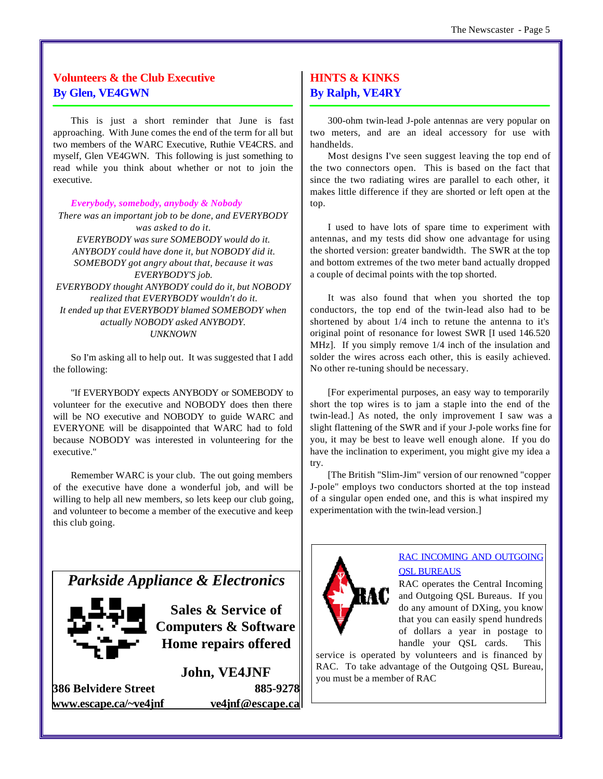## **Volunteers & the Club Executive By Glen, VE4GWN**

This is just a short reminder that June is fast approaching. With June comes the end of the term for all but two members of the WARC Executive, Ruthie VE4CRS. and myself, Glen VE4GWN. This following is just something to read while you think about whether or not to join the executive.

#### *Everybody, somebody, anybody & Nobody*

*There was an important job to be done, and EVERYBODY was asked to do it. EVERYBODY was sure SOMEBODY would do it. ANYBODY could have done it, but NOBODY did it. SOMEBODY got angry about that, because it was EVERYBODY'S job. EVERYBODY thought ANYBODY could do it, but NOBODY realized that EVERYBODY wouldn't do it. It ended up that EVERYBODY blamed SOMEBODY when actually NOBODY asked ANYBODY. UNKNOWN*

So I'm asking all to help out. It was suggested that I add the following:

"If EVERYBODY expects ANYBODY or SOMEBODY to volunteer for the executive and NOBODY does then there will be NO executive and NOBODY to guide WARC and EVERYONE will be disappointed that WARC had to fold because NOBODY was interested in volunteering for the executive."

Remember WARC is your club. The out going members of the executive have done a wonderful job, and will be willing to help all new members, so lets keep our club going, and volunteer to become a member of the executive and keep this club going.

## **HINTS & KINKS By Ralph, VE4RY**

300-ohm twin-lead J-pole antennas are very popular on two meters, and are an ideal accessory for use with handhelds.

Most designs I've seen suggest leaving the top end of the two connectors open. This is based on the fact that since the two radiating wires are parallel to each other, it makes little difference if they are shorted or left open at the top.

I used to have lots of spare time to experiment with antennas, and my tests did show one advantage for using the shorted version: greater bandwidth. The SWR at the top and bottom extremes of the two meter band actually dropped a couple of decimal points with the top shorted.

It was also found that when you shorted the top conductors, the top end of the twin-lead also had to be shortened by about 1/4 inch to retune the antenna to it's original point of resonance for lowest SWR [I used 146.520 MHz]. If you simply remove 1/4 inch of the insulation and solder the wires across each other, this is easily achieved. No other re-tuning should be necessary.

[For experimental purposes, an easy way to temporarily short the top wires is to jam a staple into the end of the twin-lead.] As noted, the only improvement I saw was a slight flattening of the SWR and if your J-pole works fine for you, it may be best to leave well enough alone. If you do have the inclination to experiment, you might give my idea a try.

[The British "Slim-Jim" version of our renowned "copper J-pole" employs two conductors shorted at the top instead of a singular open ended one, and this is what inspired my experimentation with the twin-lead version.]



## RAC INCOMING AND OUTGOING **OSL BUREAUS**

RAC operates the Central Incoming and Outgoing QSL Bureaus. If you do any amount of DXing, you know that you can easily spend hundreds of dollars a year in postage to handle your QSL cards. This

service is operated by volunteers and is financed by RAC. To take advantage of the Outgoing QSL Bureau, you must be a member of RAC

*Parkside Appliance & Electronics*



**Sales & Service of Computers & Software Home repairs offered**

**John, VE4JNF 386 Belvidere Street 885-9278 www.escape.ca/~ve4jnf ve4jnf@escape.ca**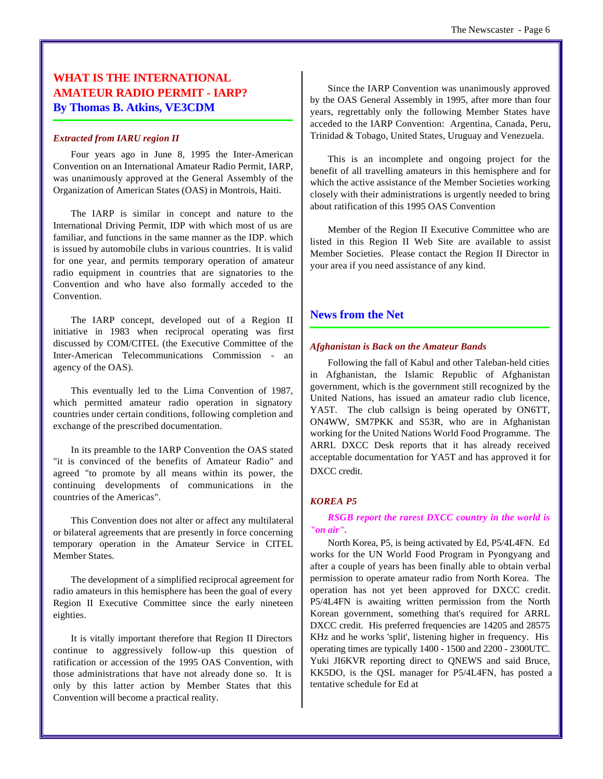## **WHAT IS THE INTERNATIONAL AMATEUR RADIO PERMIT - IARP? By Thomas B. Atkins, VE3CDM**

#### *Extracted from IARU region II*

Four years ago in June 8, 1995 the Inter-American Convention on an International Amateur Radio Permit, IARP, was unanimously approved at the General Assembly of the Organization of American States (OAS) in Montrois, Haiti.

The IARP is similar in concept and nature to the International Driving Permit, IDP with which most of us are familiar, and functions in the same manner as the IDP. which is issued by automobile clubs in various countries. It is valid for one year, and permits temporary operation of amateur radio equipment in countries that are signatories to the Convention and who have also formally acceded to the Convention.

The IARP concept, developed out of a Region II initiative in 1983 when reciprocal operating was first discussed by COM/CITEL (the Executive Committee of the Inter-American Telecommunications Commission - an agency of the OAS).

This eventually led to the Lima Convention of 1987, which permitted amateur radio operation in signatory countries under certain conditions, following completion and exchange of the prescribed documentation.

In its preamble to the IARP Convention the OAS stated "it is convinced of the benefits of Amateur Radio" and agreed "to promote by all means within its power, the continuing developments of communications in the countries of the Americas".

This Convention does not alter or affect any multilateral or bilateral agreements that are presently in force concerning temporary operation in the Amateur Service in CITEL Member States.

The development of a simplified reciprocal agreement for radio amateurs in this hemisphere has been the goal of every Region II Executive Committee since the early nineteen eighties.

It is vitally important therefore that Region II Directors continue to aggressively follow-up this question of ratification or accession of the 1995 OAS Convention, with those administrations that have not already done so. It is only by this latter action by Member States that this Convention will become a practical reality.

Since the IARP Convention was unanimously approved by the OAS General Assembly in 1995, after more than four years, regrettably only the following Member States have acceded to the IARP Convention: Argentina, Canada, Peru, Trinidad & Tobago, United States, Uruguay and Venezuela.

This is an incomplete and ongoing project for the benefit of all travelling amateurs in this hemisphere and for which the active assistance of the Member Societies working closely with their administrations is urgently needed to bring about ratification of this 1995 OAS Convention

Member of the Region II Executive Committee who are listed in this Region II Web Site are available to assist Member Societies. Please contact the Region II Director in your area if you need assistance of any kind.

### **News from the Net**

#### *Afghanistan is Back on the Amateur Bands*

Following the fall of Kabul and other Taleban-held cities in Afghanistan, the Islamic Republic of Afghanistan government, which is the government still recognized by the United Nations, has issued an amateur radio club licence, YA5T. The club callsign is being operated by ON6TT, ON4WW, SM7PKK and S53R, who are in Afghanistan working for the United Nations World Food Programme. The ARRL DXCC Desk reports that it has already received acceptable documentation for YA5T and has approved it for DXCC credit.

#### *KOREA P5*

#### *RSGB report the rarest DXCC country in the world is "on air".*

North Korea, P5, is being activated by Ed, P5/4L4FN. Ed works for the UN World Food Program in Pyongyang and after a couple of years has been finally able to obtain verbal permission to operate amateur radio from North Korea. The operation has not yet been approved for DXCC credit. P5/4L4FN is awaiting written permission from the North Korean government, something that's required for ARRL DXCC credit. His preferred frequencies are 14205 and 28575 KHz and he works 'split', listening higher in frequency. His operating times are typically 1400 - 1500 and 2200 - 2300UTC. Yuki JI6KVR reporting direct to QNEWS and said Bruce, KK5DO, is the QSL manager for P5/4L4FN, has posted a tentative schedule for Ed at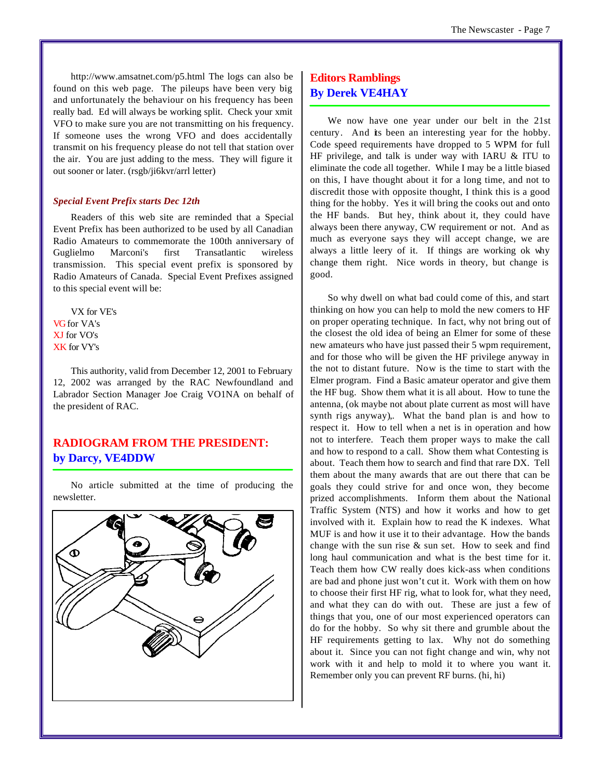http://www.amsatnet.com/p5.html The logs can also be found on this web page. The pileups have been very big and unfortunately the behaviour on his frequency has been really bad. Ed will always be working split. Check your xmit VFO to make sure you are not transmitting on his frequency. If someone uses the wrong VFO and does accidentally transmit on his frequency please do not tell that station over the air. You are just adding to the mess. They will figure it out sooner or later. (rsgb/ji6kvr/arrl letter)

#### *Special Event Prefix starts Dec 12th*

Readers of this web site are reminded that a Special Event Prefix has been authorized to be used by all Canadian Radio Amateurs to commemorate the 100th anniversary of Guglielmo Marconi's first Transatlantic wireless transmission. This special event prefix is sponsored by Radio Amateurs of Canada. Special Event Prefixes assigned to this special event will be:

VX for VE's VG for VA's XJ for VO's XK for VY's

This authority, valid from December 12, 2001 to February 12, 2002 was arranged by the RAC Newfoundland and Labrador Section Manager Joe Craig VO1NA on behalf of the president of RAC.

## **RADIOGRAM FROM THE PRESIDENT: by Darcy, VE4DDW**

No article submitted at the time of producing the newsletter.



## **Editors Ramblings By Derek VE4HAY**

We now have one year under our belt in the 21st century. And its been an interesting year for the hobby. Code speed requirements have dropped to 5 WPM for full HF privilege, and talk is under way with IARU & ITU to eliminate the code all together. While I may be a little biased on this, I have thought about it for a long time, and not to discredit those with opposite thought, I think this is a good thing for the hobby. Yes it will bring the cooks out and onto the HF bands. But hey, think about it, they could have always been there anyway, CW requirement or not. And as much as everyone says they will accept change, we are always a little leery of it. If things are working ok why change them right. Nice words in theory, but change is good.

So why dwell on what bad could come of this, and start thinking on how you can help to mold the new comers to HF on proper operating technique. In fact, why not bring out of the closest the old idea of being an Elmer for some of these new amateurs who have just passed their 5 wpm requirement, and for those who will be given the HF privilege anyway in the not to distant future. Now is the time to start with the Elmer program. Find a Basic amateur operator and give them the HF bug. Show them what it is all about. How to tune the antenna, (ok maybe not about plate current as most will have synth rigs anyway),. What the band plan is and how to respect it. How to tell when a net is in operation and how not to interfere. Teach them proper ways to make the call and how to respond to a call. Show them what Contesting is about. Teach them how to search and find that rare DX. Tell them about the many awards that are out there that can be goals they could strive for and once won, they become prized accomplishments. Inform them about the National Traffic System (NTS) and how it works and how to get involved with it. Explain how to read the K indexes. What MUF is and how it use it to their advantage. How the bands change with the sun rise & sun set. How to seek and find long haul communication and what is the best time for it. Teach them how CW really does kick-ass when conditions are bad and phone just won't cut it. Work with them on how to choose their first HF rig, what to look for, what they need, and what they can do with out. These are just a few of things that you, one of our most experienced operators can do for the hobby. So why sit there and grumble about the HF requirements getting to lax. Why not do something about it. Since you can not fight change and win, why not work with it and help to mold it to where you want it. Remember only you can prevent RF burns. (hi, hi)